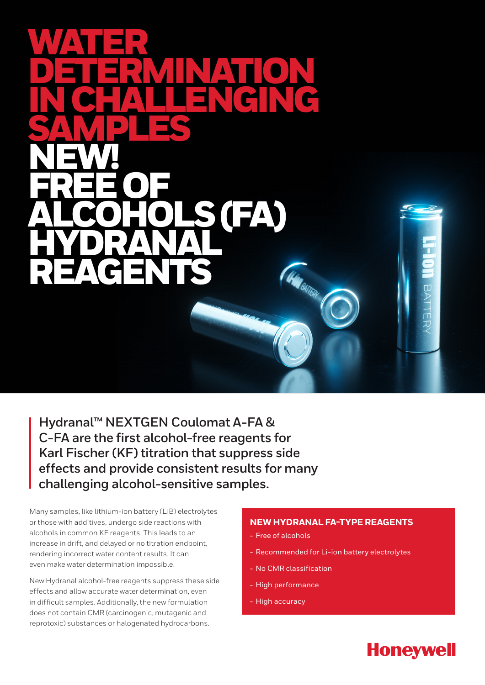# WATER DETERMINATION IN CHALLENGING SAMPLES NEW! FREE OF ALCOHOLS (FA) HYDRANAL REAGENTS**HARBATERY**

**Hydranal™ NEXTGEN Coulomat A-FA & C-FA are the first alcohol-free reagents for Karl Fischer (KF) titration that suppress side effects and provide consistent results for many challenging alcohol-sensitive samples.**

Many samples, like lithium-ion battery (LiB) electrolytes or those with additives, undergo side reactions with alcohols in common KF reagents. This leads to an increase in drift, and delayed or no titration endpoint, rendering incorrect water content results. It can even make water determination impossible.

New Hydranal alcohol-free reagents suppress these side effects and allow accurate water determination, even in difficult samples. Additionally, the new formulation does not contain CMR (carcinogenic, mutagenic and reprotoxic) substances or halogenated hydrocarbons.

## **NEW HYDRANAL FA-TYPE REAGENTS**

BATTE

**Honeywell** 

- Free of alcohols
- Recommended for Li-ion battery electrolytes
- No CMR classification
- High performance
- High accuracy